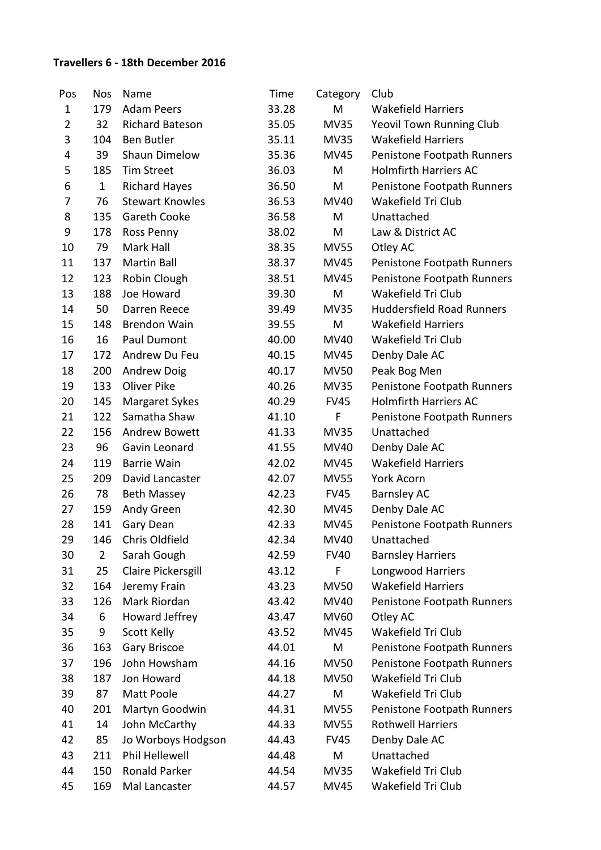## **Travellers 6 - 18th December 2016**

| Pos          | <b>Nos</b>     | Name                   | Time  | Category    | Club                             |
|--------------|----------------|------------------------|-------|-------------|----------------------------------|
| $\mathbf{1}$ | 179            | <b>Adam Peers</b>      | 33.28 | M           | <b>Wakefield Harriers</b>        |
| 2            | 32             | <b>Richard Bateson</b> | 35.05 | <b>MV35</b> | Yeovil Town Running Club         |
| 3            | 104            | <b>Ben Butler</b>      | 35.11 | <b>MV35</b> | <b>Wakefield Harriers</b>        |
| 4            | 39             | Shaun Dimelow          | 35.36 | MV45        | Penistone Footpath Runners       |
| 5            | 185            | <b>Tim Street</b>      | 36.03 | M           | <b>Holmfirth Harriers AC</b>     |
| 6            | $\mathbf 1$    | <b>Richard Hayes</b>   | 36.50 | M           | Penistone Footpath Runners       |
| 7            | 76             | <b>Stewart Knowles</b> | 36.53 | <b>MV40</b> | Wakefield Tri Club               |
| 8            | 135            | Gareth Cooke           | 36.58 | M           | Unattached                       |
| 9            | 178            | Ross Penny             | 38.02 | M           | Law & District AC                |
| 10           | 79             | Mark Hall              | 38.35 | <b>MV55</b> | Otley AC                         |
| 11           | 137            | <b>Martin Ball</b>     | 38.37 | <b>MV45</b> | Penistone Footpath Runners       |
| 12           | 123            | Robin Clough           | 38.51 | MV45        | Penistone Footpath Runners       |
| 13           | 188            | Joe Howard             | 39.30 | M           | Wakefield Tri Club               |
| 14           | 50             | Darren Reece           | 39.49 | <b>MV35</b> | <b>Huddersfield Road Runners</b> |
| 15           | 148            | <b>Brendon Wain</b>    | 39.55 | M           | <b>Wakefield Harriers</b>        |
| 16           | 16             | Paul Dumont            | 40.00 | <b>MV40</b> | Wakefield Tri Club               |
| 17           | 172            | Andrew Du Feu          | 40.15 | MV45        | Denby Dale AC                    |
| 18           | 200            | <b>Andrew Doig</b>     | 40.17 | <b>MV50</b> | Peak Bog Men                     |
| 19           | 133            | Oliver Pike            | 40.26 | <b>MV35</b> | Penistone Footpath Runners       |
| 20           | 145            | Margaret Sykes         | 40.29 | <b>FV45</b> | <b>Holmfirth Harriers AC</b>     |
| 21           | 122            | Samatha Shaw           | 41.10 | F           | Penistone Footpath Runners       |
| 22           | 156            | <b>Andrew Bowett</b>   | 41.33 | <b>MV35</b> | Unattached                       |
| 23           | 96             | Gavin Leonard          | 41.55 | <b>MV40</b> | Denby Dale AC                    |
| 24           | 119            | <b>Barrie Wain</b>     | 42.02 | MV45        | <b>Wakefield Harriers</b>        |
| 25           | 209            | David Lancaster        | 42.07 | <b>MV55</b> | York Acorn                       |
| 26           | 78             | <b>Beth Massey</b>     | 42.23 | <b>FV45</b> | <b>Barnsley AC</b>               |
| 27           | 159            | Andy Green             | 42.30 | MV45        | Denby Dale AC                    |
| 28           | 141            | Gary Dean              | 42.33 | <b>MV45</b> | Penistone Footpath Runners       |
| 29           | 146            | Chris Oldfield         | 42.34 | MV40        | Unattached                       |
| 30           | $\overline{2}$ | Sarah Gough            | 42.59 | <b>FV40</b> | <b>Barnsley Harriers</b>         |
| 31           | 25             | Claire Pickersgill     | 43.12 | F           | Longwood Harriers                |
| 32           | 164            | Jeremy Frain           | 43.23 | <b>MV50</b> | <b>Wakefield Harriers</b>        |
| 33           | 126            | Mark Riordan           | 43.42 | MV40        | Penistone Footpath Runners       |
| 34           | 6              | Howard Jeffrey         | 43.47 | <b>MV60</b> | Otley AC                         |
| 35           | 9              | Scott Kelly            | 43.52 | MV45        | Wakefield Tri Club               |
| 36           | 163            | <b>Gary Briscoe</b>    | 44.01 | M           | Penistone Footpath Runners       |
| 37           | 196            | John Howsham           | 44.16 | <b>MV50</b> | Penistone Footpath Runners       |
| 38           | 187            | Jon Howard             | 44.18 | <b>MV50</b> | Wakefield Tri Club               |
| 39           | 87             | Matt Poole             | 44.27 | M           | Wakefield Tri Club               |
| 40           | 201            | Martyn Goodwin         | 44.31 | <b>MV55</b> | Penistone Footpath Runners       |
| 41           | 14             | John McCarthy          | 44.33 | <b>MV55</b> | <b>Rothwell Harriers</b>         |
| 42           | 85             | Jo Worboys Hodgson     | 44.43 | <b>FV45</b> | Denby Dale AC                    |
| 43           | 211            | Phil Hellewell         | 44.48 | M           | Unattached                       |
| 44           | 150            | Ronald Parker          | 44.54 | <b>MV35</b> | Wakefield Tri Club               |
| 45           | 169            | Mal Lancaster          | 44.57 | <b>MV45</b> | Wakefield Tri Club               |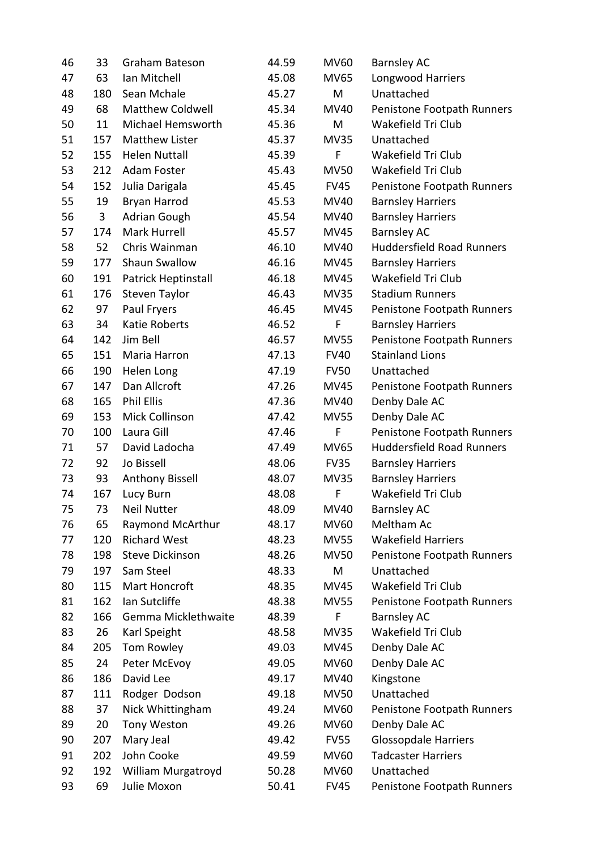| 46 | 33  | Graham Bateson          | 44.59 | <b>MV60</b> | <b>Barnsley AC</b>               |
|----|-----|-------------------------|-------|-------------|----------------------------------|
| 47 | 63  | Ian Mitchell            | 45.08 | <b>MV65</b> | Longwood Harriers                |
| 48 | 180 | Sean Mchale             | 45.27 | M           | Unattached                       |
| 49 | 68  | <b>Matthew Coldwell</b> | 45.34 | <b>MV40</b> | Penistone Footpath Runners       |
| 50 | 11  | Michael Hemsworth       | 45.36 | M           | Wakefield Tri Club               |
| 51 | 157 | <b>Matthew Lister</b>   | 45.37 | <b>MV35</b> | Unattached                       |
| 52 | 155 | <b>Helen Nuttall</b>    | 45.39 | F           | Wakefield Tri Club               |
| 53 | 212 | Adam Foster             | 45.43 | <b>MV50</b> | Wakefield Tri Club               |
| 54 | 152 | Julia Darigala          | 45.45 | <b>FV45</b> | Penistone Footpath Runners       |
| 55 | 19  | Bryan Harrod            | 45.53 | MV40        | <b>Barnsley Harriers</b>         |
| 56 | 3   | <b>Adrian Gough</b>     | 45.54 | <b>MV40</b> | <b>Barnsley Harriers</b>         |
| 57 | 174 | Mark Hurrell            | 45.57 | MV45        | <b>Barnsley AC</b>               |
| 58 | 52  | Chris Wainman           | 46.10 | <b>MV40</b> | <b>Huddersfield Road Runners</b> |
| 59 | 177 | Shaun Swallow           | 46.16 | <b>MV45</b> | <b>Barnsley Harriers</b>         |
| 60 | 191 | Patrick Heptinstall     | 46.18 | MV45        | Wakefield Tri Club               |
| 61 | 176 | Steven Taylor           | 46.43 | <b>MV35</b> | <b>Stadium Runners</b>           |
| 62 | 97  | Paul Fryers             | 46.45 | <b>MV45</b> | Penistone Footpath Runners       |
| 63 | 34  | <b>Katie Roberts</b>    | 46.52 | F           | <b>Barnsley Harriers</b>         |
| 64 | 142 | Jim Bell                | 46.57 | <b>MV55</b> | Penistone Footpath Runners       |
| 65 | 151 | Maria Harron            | 47.13 | <b>FV40</b> | <b>Stainland Lions</b>           |
| 66 | 190 | Helen Long              | 47.19 | <b>FV50</b> | Unattached                       |
| 67 | 147 | Dan Allcroft            | 47.26 | <b>MV45</b> | Penistone Footpath Runners       |
| 68 | 165 | <b>Phil Ellis</b>       | 47.36 | <b>MV40</b> | Denby Dale AC                    |
| 69 | 153 | Mick Collinson          | 47.42 | <b>MV55</b> | Denby Dale AC                    |
| 70 | 100 | Laura Gill              | 47.46 | F           | Penistone Footpath Runners       |
| 71 | 57  | David Ladocha           | 47.49 | <b>MV65</b> | <b>Huddersfield Road Runners</b> |
| 72 | 92  | Jo Bissell              | 48.06 | <b>FV35</b> | <b>Barnsley Harriers</b>         |
| 73 | 93  | Anthony Bissell         | 48.07 | <b>MV35</b> | <b>Barnsley Harriers</b>         |
| 74 | 167 | Lucy Burn               | 48.08 | F           | Wakefield Tri Club               |
| 75 | 73  | <b>Neil Nutter</b>      | 48.09 | MV40        | Barnsley AC                      |
| 76 | 65  | Raymond McArthur        | 48.17 | <b>MV60</b> | Meltham Ac                       |
| 77 | 120 | <b>Richard West</b>     | 48.23 | <b>MV55</b> | <b>Wakefield Harriers</b>        |
| 78 | 198 | <b>Steve Dickinson</b>  | 48.26 | <b>MV50</b> | Penistone Footpath Runners       |
| 79 | 197 | Sam Steel               | 48.33 | M           | Unattached                       |
| 80 | 115 | Mart Honcroft           | 48.35 | MV45        | Wakefield Tri Club               |
| 81 | 162 | Ian Sutcliffe           | 48.38 | <b>MV55</b> | Penistone Footpath Runners       |
| 82 | 166 | Gemma Micklethwaite     | 48.39 | F           | <b>Barnsley AC</b>               |
| 83 | 26  | Karl Speight            | 48.58 | <b>MV35</b> | Wakefield Tri Club               |
| 84 | 205 | Tom Rowley              | 49.03 | <b>MV45</b> | Denby Dale AC                    |
| 85 | 24  | Peter McEvoy            | 49.05 | <b>MV60</b> | Denby Dale AC                    |
| 86 | 186 | David Lee               | 49.17 | MV40        | Kingstone                        |
| 87 | 111 | Rodger Dodson           | 49.18 | <b>MV50</b> | Unattached                       |
| 88 | 37  | Nick Whittingham        | 49.24 | <b>MV60</b> | Penistone Footpath Runners       |
| 89 | 20  | Tony Weston             | 49.26 | MV60        | Denby Dale AC                    |
| 90 | 207 | Mary Jeal               | 49.42 | <b>FV55</b> | <b>Glossopdale Harriers</b>      |
| 91 | 202 | John Cooke              | 49.59 | <b>MV60</b> | <b>Tadcaster Harriers</b>        |
| 92 | 192 | William Murgatroyd      | 50.28 | <b>MV60</b> | Unattached                       |
| 93 | 69  | Julie Moxon             | 50.41 | <b>FV45</b> | Penistone Footpath Runners       |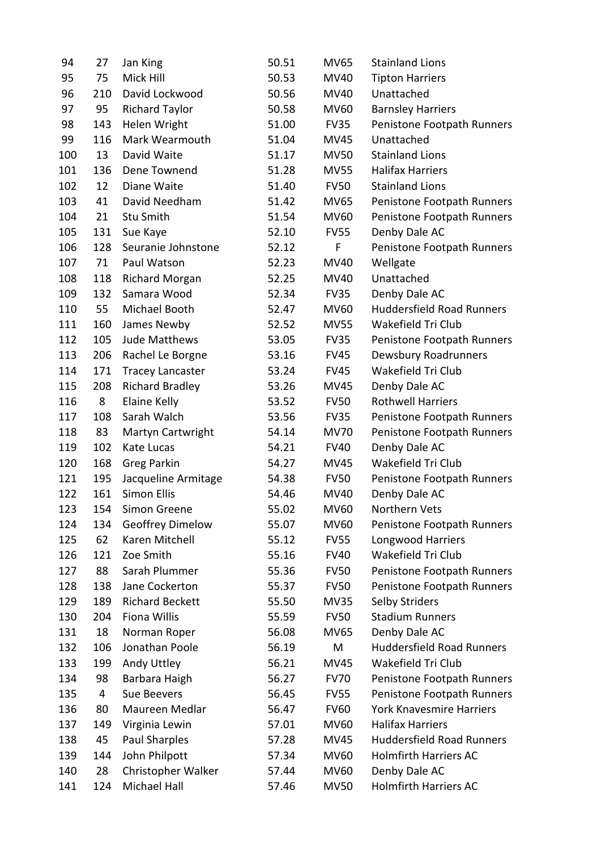| 94  | 27  | Jan King                | 50.51 | <b>MV65</b> | <b>Stainland Lions</b>           |
|-----|-----|-------------------------|-------|-------------|----------------------------------|
| 95  | 75  | Mick Hill               | 50.53 | MV40        | <b>Tipton Harriers</b>           |
| 96  | 210 | David Lockwood          | 50.56 | MV40        | Unattached                       |
| 97  | 95  | <b>Richard Taylor</b>   | 50.58 | <b>MV60</b> | <b>Barnsley Harriers</b>         |
| 98  | 143 | Helen Wright            | 51.00 | <b>FV35</b> | Penistone Footpath Runners       |
| 99  | 116 | Mark Wearmouth          | 51.04 | <b>MV45</b> | Unattached                       |
| 100 | 13  | David Waite             | 51.17 | <b>MV50</b> | <b>Stainland Lions</b>           |
| 101 | 136 | Dene Townend            | 51.28 | <b>MV55</b> | <b>Halifax Harriers</b>          |
| 102 | 12  | Diane Waite             | 51.40 | <b>FV50</b> | <b>Stainland Lions</b>           |
| 103 | 41  | David Needham           | 51.42 | <b>MV65</b> | Penistone Footpath Runners       |
| 104 | 21  | Stu Smith               | 51.54 | <b>MV60</b> | Penistone Footpath Runners       |
| 105 | 131 | Sue Kaye                | 52.10 | <b>FV55</b> | Denby Dale AC                    |
| 106 | 128 | Seuranie Johnstone      | 52.12 | F           | Penistone Footpath Runners       |
| 107 | 71  | Paul Watson             | 52.23 | MV40        | Wellgate                         |
| 108 | 118 | <b>Richard Morgan</b>   | 52.25 | MV40        | Unattached                       |
| 109 | 132 | Samara Wood             | 52.34 | <b>FV35</b> | Denby Dale AC                    |
| 110 | 55  | Michael Booth           | 52.47 | <b>MV60</b> | <b>Huddersfield Road Runners</b> |
| 111 | 160 | James Newby             | 52.52 | <b>MV55</b> | Wakefield Tri Club               |
| 112 | 105 | Jude Matthews           | 53.05 | <b>FV35</b> | Penistone Footpath Runners       |
| 113 | 206 | Rachel Le Borgne        | 53.16 | <b>FV45</b> | Dewsbury Roadrunners             |
| 114 | 171 | <b>Tracey Lancaster</b> | 53.24 | <b>FV45</b> | Wakefield Tri Club               |
| 115 | 208 | <b>Richard Bradley</b>  | 53.26 | <b>MV45</b> | Denby Dale AC                    |
| 116 | 8   | Elaine Kelly            | 53.52 | <b>FV50</b> | <b>Rothwell Harriers</b>         |
| 117 | 108 | Sarah Walch             | 53.56 | <b>FV35</b> | Penistone Footpath Runners       |
| 118 | 83  | Martyn Cartwright       | 54.14 | <b>MV70</b> | Penistone Footpath Runners       |
| 119 | 102 | Kate Lucas              | 54.21 | <b>FV40</b> | Denby Dale AC                    |
| 120 | 168 | <b>Greg Parkin</b>      | 54.27 | MV45        | Wakefield Tri Club               |
| 121 | 195 | Jacqueline Armitage     | 54.38 | <b>FV50</b> | Penistone Footpath Runners       |
| 122 | 161 | <b>Simon Ellis</b>      | 54.46 | <b>MV40</b> | Denby Dale AC                    |
| 123 | 154 | Simon Greene            | 55.02 | MV60        | Northern Vets                    |
| 124 | 134 | Geoffrey Dimelow        | 55.07 | <b>MV60</b> | Penistone Footpath Runners       |
| 125 | 62  | Karen Mitchell          | 55.12 | <b>FV55</b> | Longwood Harriers                |
| 126 | 121 | Zoe Smith               | 55.16 | <b>FV40</b> | Wakefield Tri Club               |
| 127 | 88  | Sarah Plummer           | 55.36 | <b>FV50</b> | Penistone Footpath Runners       |
| 128 | 138 | Jane Cockerton          | 55.37 | <b>FV50</b> | Penistone Footpath Runners       |
| 129 | 189 | <b>Richard Beckett</b>  | 55.50 | <b>MV35</b> | <b>Selby Striders</b>            |
| 130 | 204 | Fiona Willis            | 55.59 | <b>FV50</b> | <b>Stadium Runners</b>           |
| 131 | 18  | Norman Roper            | 56.08 | <b>MV65</b> | Denby Dale AC                    |
| 132 | 106 | Jonathan Poole          | 56.19 | M           | <b>Huddersfield Road Runners</b> |
| 133 | 199 | Andy Uttley             | 56.21 | <b>MV45</b> | Wakefield Tri Club               |
| 134 | 98  | Barbara Haigh           | 56.27 | <b>FV70</b> | Penistone Footpath Runners       |
| 135 | 4   | Sue Beevers             | 56.45 | <b>FV55</b> | Penistone Footpath Runners       |
| 136 | 80  | Maureen Medlar          | 56.47 | <b>FV60</b> | <b>York Knavesmire Harriers</b>  |
| 137 | 149 | Virginia Lewin          | 57.01 | <b>MV60</b> | <b>Halifax Harriers</b>          |
| 138 | 45  | Paul Sharples           | 57.28 | MV45        | <b>Huddersfield Road Runners</b> |
| 139 | 144 | John Philpott           | 57.34 | <b>MV60</b> | <b>Holmfirth Harriers AC</b>     |
| 140 | 28  | Christopher Walker      | 57.44 | <b>MV60</b> | Denby Dale AC                    |
| 141 | 124 | Michael Hall            | 57.46 | <b>MV50</b> | <b>Holmfirth Harriers AC</b>     |